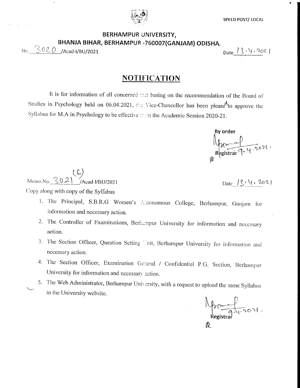## BERHAMPUR UNIVERSITY, BHANJA BIHAR, BERHAMPUR -760007(GANJAM) ODISHA.

No. 3020 /Acad-I/BU/2021

Date  $13.4.202$ 

## **NOTIFICATION**

It is for information of all concerned that basing on the recommendation of the Board of Studies in Psychology held on 06.04.2021, the Vice-Chancellor has been please<sup>d</sup> to approve the Syllabus for M.A in Psychology to be effective ::: m the Academic Session 2020-21.

By order Registrar 9- 4.2021.

Memo.No.  $302$  $\sqrt{\text{Acad-1/BU}/2021}$ Copy along with copy of the Sylfabus

Date 19.4, 2021

- 1. The Principal, S.B.R.G Women's Autonomous College, Berhampur, Ganjam for information and necessary action.
- 2. The Controller of Examinations, Berhampur University for information and necessary action.
- 3. The Section Officer, Question Setting Thit, Berhampur University for information and necessary action.
- 4. The Section Officer, Examination General / Confidential P.G. Section, Berhampur University for information and necessary action.
- 5. The Web Administrator, Berhampur University, with a request to upload the same Syllabus in the University website.

Aprice /  $\emptyset$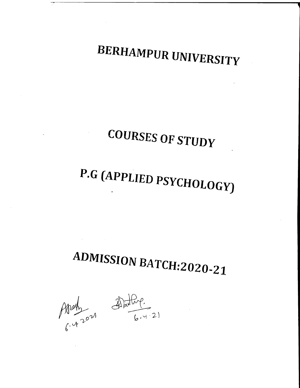BERHAMPUR UNIVERSITY

## COURSES OF STUDY

# P.G (APPLIED PSYCHOLOGY)

## ADMISSION BATCH:2020-21

 $\mathcal{A}(\mathcal{A})$  and  $\mathcal{A}(\mathcal{A})$  and  $\mathcal{A}(\mathcal{A})$ 

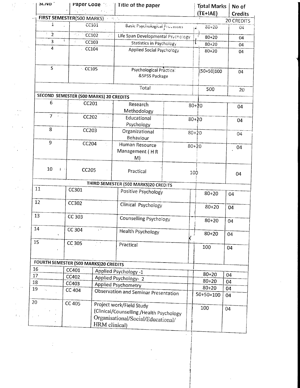| <b>DI.IVO</b>                                                                  | Paper Code [15]   Title of the paper   |                   |                                          |     | <b>Total Marks</b><br>$(TE+IAE)$ | No of<br><b>Credits</b> |  |
|--------------------------------------------------------------------------------|----------------------------------------|-------------------|------------------------------------------|-----|----------------------------------|-------------------------|--|
| FIRST SEMESTER(500 MARKS) Press                                                |                                        |                   |                                          |     |                                  | <b>20 CREDITS</b>       |  |
| 1                                                                              | CC101                                  |                   | Basic Psychological Processes            |     | $60 + 20$<br>۱Ż.                 | 04                      |  |
| $\overline{2}$                                                                 | 55, 1<br>CC102                         | ИÌ                | Life Span Developmental Psychology       |     | $80 + 20$                        | 04                      |  |
| ÷<br>3<br>CC103                                                                |                                        |                   | Statistics in Psychology                 |     | $80 + 20$                        | 04                      |  |
|                                                                                | 4<br>CC104                             |                   | Applied Social Psychology                |     | $80 + 20$                        | 04                      |  |
|                                                                                |                                        |                   |                                          |     |                                  |                         |  |
| 5                                                                              | $\sim$ CC105                           |                   | Psychological Practical<br>&SPSS Package |     | $(50+50)100$                     | 04                      |  |
|                                                                                |                                        | Total             |                                          | 500 | 20                               |                         |  |
|                                                                                | SECOND SEMESTER (500 MARKS) 20 CREDITS |                   |                                          |     |                                  |                         |  |
| 6                                                                              | CC201                                  |                   | Research                                 |     | $80 + 20$                        |                         |  |
|                                                                                |                                        |                   | Methodology                              |     |                                  | 04                      |  |
| $7 \div$ .                                                                     | CC202                                  | ria.              | Educational                              |     | $80 + 20$                        |                         |  |
|                                                                                |                                        |                   | Psychology                               |     |                                  | 04                      |  |
| 8                                                                              | CC203                                  |                   | Organizational                           |     | $80+20$                          |                         |  |
|                                                                                |                                        |                   | Behaviour                                |     |                                  | 04                      |  |
| 9                                                                              | CC204                                  |                   | Human Resource                           |     | $80 + 20$                        | 04                      |  |
|                                                                                |                                        |                   | Management (HR                           |     |                                  |                         |  |
|                                                                                |                                        |                   | M)                                       |     |                                  |                         |  |
| 10                                                                             | $\ddagger$<br>CC205                    |                   | Practical                                |     | 100                              | 04                      |  |
|                                                                                | THIRD SEMESTER (500 MARKS)20 CREDITS   |                   |                                          |     |                                  |                         |  |
| 11<br>CC301                                                                    |                                        |                   | Positive Psychology                      |     |                                  |                         |  |
|                                                                                |                                        |                   |                                          |     | $80 + 20$                        | 04                      |  |
| 12                                                                             | CC302                                  |                   | Clinical Psychology                      |     |                                  |                         |  |
|                                                                                |                                        |                   |                                          |     | $80 + 20$                        | 04                      |  |
| 13                                                                             | CC 303                                 |                   | Counselling Psychology                   |     |                                  |                         |  |
|                                                                                |                                        |                   |                                          |     | $80 + 20$                        | 04                      |  |
| 14                                                                             | CC 304                                 | Health Psychology |                                          |     | $80 + 20$                        | 04                      |  |
|                                                                                |                                        |                   |                                          |     |                                  |                         |  |
| 15<br>$CC$ 305<br>$\gamma$ , $\gamma$                                          |                                        | Practical         |                                          | 100 | 04                               |                         |  |
|                                                                                |                                        |                   |                                          |     |                                  |                         |  |
|                                                                                |                                        |                   |                                          |     |                                  |                         |  |
| 16                                                                             | FOURTH SEMESTER (500 MARKS)20 CREDITS  |                   |                                          |     |                                  |                         |  |
| 17 <sup>2</sup>                                                                | CC401                                  |                   | Applied Psychology -1                    |     | $80 + 20$                        | 04                      |  |
| 18                                                                             | CC402<br>CC403                         |                   | Applied Psychology-2                     |     | $80 + 20$                        | 04                      |  |
| 19<br>þ.                                                                       | CC 404                                 |                   | <b>Applied Psychometry</b>               |     | $80 + 20$                        | 04                      |  |
|                                                                                |                                        |                   | Observation and Seminar Presentation     |     | $50+50=100$                      | 04                      |  |
| 20                                                                             | CC 405                                 |                   |                                          |     |                                  |                         |  |
|                                                                                |                                        |                   | Project work/Field Study                 |     | 100                              | 04                      |  |
| (Clinical/Counselling /Health Psychology<br>Organisational/Social/Educational/ |                                        |                   |                                          |     |                                  |                         |  |
|                                                                                |                                        | HRM clinical)     |                                          |     |                                  |                         |  |
|                                                                                |                                        |                   |                                          |     |                                  |                         |  |

 $\mathbb{Z}^2$ 

 $\hat{\mathcal{F}}$ 

 $\ddot{\phantom{0}}$  $\frac{1}{2}$   $\frac{1}{2}$ 

 $\frac{1}{2} \frac{d}{dt} \frac{d}{dt} \frac{d\theta}{dt}$ 

 $\bar{z}$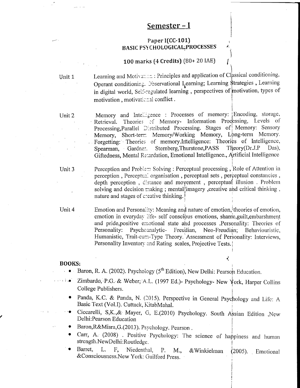## Semester – I

#### Paper I(CC-101) **BASIC PSYCHOLOGICAL PROCESSES**

#### 100 marks (4 Credits)  $(80+20 \text{ IAE})$

Unit 1

Learning and Motivation: Principles and application of Classical conditioning, Operant conditioning. Observational Learning; Learning \$trategies, Learning in digital world, Self-regulated learning, perspectives of motivation, types of motivation, motivational conflict.

Unit 2

Memory and Intelligence : Processes of memory: Encoding, storage, Retrieval. Theories of Memory- Information Processing, Levels of Processing, Parallel Distributed Processing. Stages of Memory: Sensory Memory, Short-term Memory/Working Memory, Long-term Memory. Forgetting: Theories of memory.Intelligence: Theories of Intelligence, Theory(Dr.J.P Sternberg, Thurstone, PASS Das). Spearman, Gardner. Giftedness, Mental Retardation, Emotional Intelligence., Artificial Intelligence

Unit 3

Perception and Problem Solving: Perceptual processing, Role of Attention in perception, Perceptual organisation, perceptual sets, perceptual constancies, depth perception, cistance and movement, perceptual illusion. Problem solving and decision making; mental imagery, creative and critical thinking, nature and stages of creative thinking.

Unit 4

Emotion and Personality: Meaning and nature of emotion, theories of emotion, emotion in everyday life- self conscious emotions, shame, guilt, embarshment and pride, positive emotional state and processes . Personality: Theories of Personality: Psychoanalytic-Freudian. Neo-Freudian; Behaviouristic, Humanistic, Trait-cum-Type Theory. Assessment of Personality: Interviews, Personality Inventory and Rating scales, Projective Tests.

₹

#### **BOOKS:**

- Baron, R. A. (2002). Psychology (5<sup>th</sup> Edition), New Delhi: Pearson Education.
- Zimbardo, P.G. & Weber, A.L. (1997 Ed.)- Psychology- New York, Harper Collins  $\sim$  (  $\sim$   $\bullet$ ) College Publishers.
	- Panda, K.C. & Panda, N. (2015). Perspective in General Psychology and Life: A Basic Text (Vol.I). Cuttack, KitabMahal.
	- Ciccarelli, S,K.,& Mayer, G, E.(2010) Psychology. South Assian Edition ,New Delhi: Pearson Education
	- Baron, R&Misra, G. (2013). Psychology. Pearson.
	- Carr, A. (2008) . Positive Psychology: The science of happiness and human strength.NewDelhi:Routledge.
	- Barret. L. E, Niedenthal,  $P_{\star}$ & Winkielman M.,  $(2005)$ Emotional & Consciousness. New York: Guilford Press.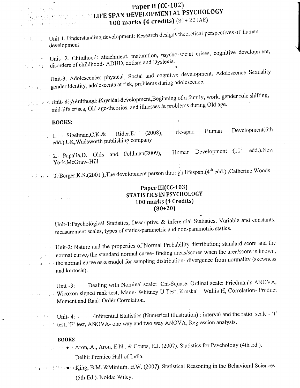## Paper II (CC-102) LIFE SPAN DEVELOPMENTAL PSYCHOLOGY 100 marks (4 credits) (80+ 20 IAE)

Unit-1. Understanding development: Research designs theoretical perspectives of human  $\label{eq:2.1} \mathcal{L}^{\text{max}}(\mathcal{L}^{\text{max}}_{\text{max}},\mathcal{L}^{\text{max}}_{\text{max}})$ development.

Unit- 2. Childhood: attachment, maturation, psycho-social crises, cognitive development, disorders of childhood- ADHD, autism and Dyslexia.  $\sim$   $\sim$ 

Unit-3. Adolescence: physical, Social and cognitive development, Adolescence Sexuality gender identity, adolescents at risk, problems during adolescence.  $\mathbb{P}^{(1)} \times \mathbb{P}^{(1)} \times \mathbb{P}^{(1)}$ 

**1996** Support Matter 4. Adulthood: Physical development, Beginning of a family, work, gender role shifting,  $\zeta$  and illnesses & problems during Old age.

#### **BOOKS:**

**Participal Strip (2)** 

 $\chi_{\rm eff} \lesssim \chi_{\rm eff}$  ,  $\phi \gtrsim 100$ 

Development(6th Life-span Human 1. Sigelman, C.K. & Rider, E.  $(2008),$ edd.).UK, Wadsworth publishing company

Human Development (11<sup>th</sup> edd.). New 2. Papalia, D. Olds and Feldman(2009), York, McGraw-Hill

3. Berger, K.S. (2001), The development person through lifespan.  $(4^{th}$  edd.), Catherine Woods

#### Paper III(CC-103) STATISTICS IN PSYCHOLOGY 100 marks (4 Credits)  $(80+20)$

Unit-1:Psychological Statistics, Descriptive & Inferential Statistics, Variable and constants, measurement scales, types of statics-parametric and non-parametric statics.

Unit-2: Nature and the properties of Normal Probability distribution; standard score and the normal curve, the standard normal curve- finding areas/scores when the area/score is known, the normal curve as a model for sampling distribution- divergence from normality (skewness and kurtosis).

Dealing with Nominal scale: Chi-Square, Ordinal scale: Friedman's ANOVA,  $-$  Unit -3: Wicoxon signed rank test, Mann- Whitney U Test, Kruskal Wallis H, Correlation- Product  $\bar{1}$  ,  $\bar{1}$  ,  $\bar{1}$  ,  $\bar{1}$ Moment and Rank Order Correlation.

Unit-4: Inferential Statistics (Numerical illustration) : interval and the ratio scale - 't' test, 'F' test, ANOVA- one way and two way ANOVA, Regression analysis.

#### **BOOKS-**

 $\overline{\phantom{a}}$ 

Aron, A., Aron, E.N., & Coups, E.J. (2007). Statistics for Psychology (4th Ed.). Delhi: Prentice Hall of India.

The same of Fermion King, B.M. & Minium, E.W. (2007). Statistical Reasoning in the Behavioral Sciences (5th Ed.). Noida: Wiley.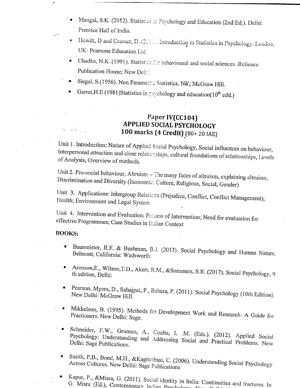- Mangal, S.K. (2012). Statistics = Psychology and Education (2nd Ed.). Delhi: ÷. Prentice Hall of India.
- Howitt, D and Cramer, D. (2011). Introduction to Statistics in Psychology. London,  $\hat{\bullet}$ UK: Pearsons Education Ltd.
- Chadha, N.K. (1991). Statistics for behavioural and social sciences .Relience  $\bullet$ Publication House; New Delh!
- Siegal, S.(1956). Non Parametric Statistics. NY; McGraw Hill.
- Garret, H.E (1981) Statistics in psychology and education(10<sup>th</sup> edd.)

## Paper IV(CC104) **APPLIED SOCIAL PSYCHOLOGY** 100 marks (4 Credit) [80+ 20 IAE]

Unit 1. Introduction: Nature of Applied Social Psychology, Social influences on behaviour, Interpersonal attraction and close relationships, cultural foundations of relationships, Levels of Analysis, Overview of methods.

Unit 2. Pro-social behaviour, Altruism - The many faces of altruism, explaining altruism, Discrimination and Diversity (Economic. Culture, Religious, Social, Gender)

Unit 3. Applications: Intergroup Relations (Prejudice, Conflict, Conflict Management); Health; Environment and Legal System

Unit 4. Intervention and Evaluation: Precess of Intervention; Need for evaluation for effective Programmes; Case Studies in Indian Context

#### **BOOKS:**

n ar ser is

 $\sigma$ 

- · Baumeister, R.F. & Bushman, B.J. (2013). Social Psychology and Human Nature. Belmont, California: Wadsworth.
- Aronson, E., Wilson, T.D., Akert, R.M., & Sommers, S.R. (2017). Social Psychology, 9  $\ddot{\phantom{0}}$  ,  $\bullet$ th edition, Delhi:
	- Pearson. Myers, D., Sahajpal, P., Behera, P. (2011). Social Psychology (10th Edition). New Delhi: McGraw Hill.
- Mikkelson, B. (1995). Methods for Development Work and Research: A Guide for  $\bullet$  . Practioners. New Delhi: Sage.
- Schneider, F.W., Gruman, A., Coults, L .M. (Eds.). (2012). Applied Social Psychology: Understanding and Addressing Social and Practical Problems. New Delhi: Sage Publications.
- Smith, P.B., Bond, M.H., &Kagitcibasi, C. (2006). Understanding Social Psychology Across Cultures. New Delhi: Sage Publications
	- Kapur, P., &Misra, G. (2011). Social identity in India: Continuities and fractures. In G. Misra (Ed.), Contemporary Indian Psychology, Nov.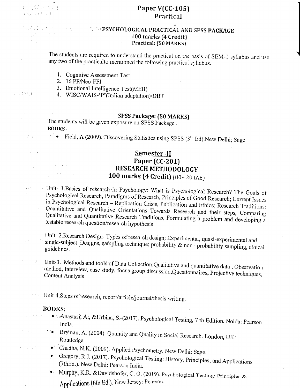$\mathcal{L}^{\mathcal{G}}(s_{1},s_{2})\in\mathbb{R}^{|\mathcal{A}|},\ s_{1}\in\mathcal{X}$ 

## Paper V(CC-105) Practical

### **A BELIEVE SPENCHOLOGICAL PRACTICAL AND SPSS PACKAGE** 100 marks (4 Credit) Practical: (50 MARKS)

The students are required to understand the practical on the basis of SEM-1 syllabus and use any two of the practical to mentioned the following practical syllabus.

- 1. Cognitive Assessment Test
- 2. 16 PF/Neo-FFI
- 3. Emotional Intelligence Test(MEII)
- 4. WISC/WAIS-'P'(Indian adaptation)/DBT

### **SPSS Package: (50 MARKS)**

The students will be given exposure on SPSS Package. **BOOKS-**

Field, A (2009). Discovering Statistics using SPSS  $(3<sup>rd</sup> Ed)$ . New Delhi; Sage

## Semester -II Paper (CC-201) RESEARCH METHODOLOGY **100 marks (4 Credit)** (80+ 20 IAE)

Unit- 1.Basics of research in Psychology: What is Psychological Research? The Goals of Psychological Research, Paradigms of Research, Principles of Good Research; Current Issues in Psychological Research - Replication Crisis, Publication and Ethics; Research Traditions: Quantitative and Qualitative Orientations Towards Research and their steps, Comparing Qualitative and Quantitative Research Traditions, Formulating a problem and developing a testable research question/research hypothesis

Unit -2. Research Design- Types of research design; Experimental, quasi-experimental and single-subject Designs, sampling technique; probability & non-probability sampling, ethical guidelines.

Unit-3. Methods and tools of Data Collection: Qualitative and quantitative data, Observation method, Interview, case study, focus group discussion, Questionnaires, Projective techniques, Content Analysis

Unit-4.Steps of research, report/article/journal/thesis writing.  $\mathcal{L}^{\text{max}}$ 

#### **BOOKS:**

 $\mathcal{A}_1$ 

 $\sim 3-10$ 

 $\mathcal{L}_{\mathrm{max}}$ 

 $\sim$ 

 $1.14\, \mathrm{Gyr}^{-1}$ 

 $\mathcal{O}(\mathcal{O}_{\mathcal{A}})$ 

 $\mathcal{L} = \{1,2,3,4\}$ 

- Anastasi, A., & Urbina, S. (2017). Psychological Testing, 7 th Edition. Noida: Pearson India.
	- <sup>1</sup> Bryman, A. (2004). Quantity and Quality in Social Research. London, UK: Routledge.
- Chadha, N.K. (2009). Applied Psychometry. New Delhi: Sage.
- Gregory, R.J. (2017). Psychological Testing: History, Principles, and Applications  $\mathbf{t} = \mathbf{0}$  . (7thEd.). New Delhi: Pearson India.
	- · Murphy, K.R. &Davidshofer, C.O. (2019). Psychological Testing: Principles & Applications (6th Ed.). New Jersey: Pearson.

岩管原子

 $\mathcal{Q}^{\text{L}}$  and  $\mathcal{Q}$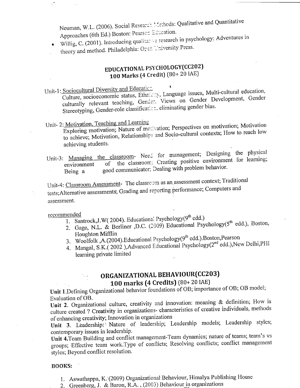Neuman, W.L. (2006). Social Research Methods: Qualitative and Quantitative Approaches (6th Ed.) Boston: Pearson Education.

Willig, C. (2001). Introducing qualitaries research in psychology: Adventures in theory and method. Philadelphia: Open University Press.

## EDUCATIONAL PSYCHOLOGY(CC202) 100 Marks (4 Credit) (80+ 20 IAE)

Unit-1: Sociocultural Diversity and Educatic.

Culture, socioeconomic status, Ethnicity, Language issues, Multi-cultural education, culturally relevant teaching, Gender. Views on Gender Development, Gender Stereotyping, Gender-role classification, eliminating gender bias.

## Unit- 2: Motivation, Teaching and Learning

Exploring motivation; Nature of motivation; Perspectives on motivation; Motivation to achieve; Motivation, Relationships and Socio-cultural contexts; How to reach low achieving students.

Unit-3: Managing the classroom- Need for management; Designing the physical of the classroom. Creating positive environment for learning; environment good communicator; Dealing with problem behavior. Being a

Unit-4: Classroom Assessment- The classroom as an assessment context; Traditional tests; Alternative assessments, Grading and reporting performance; Computers and assessment.

#### recommended

- 1. Santrock, J.W(2004). Educational Psychology(9<sup>th</sup> edd.)
- 2. Gage, N.L. & Berliner ,D.C. (2009) Educational Psychology(5<sup>th</sup> edd.), Boston, Houghton Mifflin
- 3. Woolfolk, A.(2004). Educational Psychology(9<sup>th</sup> edd.). Boston, Pearson
- 4. Mangal, S.K. (2002), Advanced Educational Psychology (2<sup>nd</sup> edd.), New Delhi, PHI learning private limited

## ORGANIZATIONAL BEHAVIOUR(CC203)

## 100 marks (4 Credits) (80+20 IAE)

Unit 1. Defining Organizational behavior foundations of OB; importance of OB; OB model; Evaluation of OB.

Unit 2. Organizational culture, creativity and innovation: meaning & definition; How is culture created ? Creativity in organizations- characteristics of creative individuals, methods of enhancing creativity; Innovation in organizations

Unit 3. Leadership: Nature of leadership; Leadership models; Leadership styles; contemporary issues in leadership.

Unit 4. Team Building and conflict management-Team dynamics; nature of teams; team's vs groups; Effective team work. Type of conflicts; Resolving conflicts; conflict management styles; Beyond conflict resolution.

#### **BOOKS:**

- 1. Aswathappa, K. (2009) Organizational Behaviour, Himalya Publishing House
- 2. Greenberg, J. & Baron, R.A., (2003) Behaviour in organizations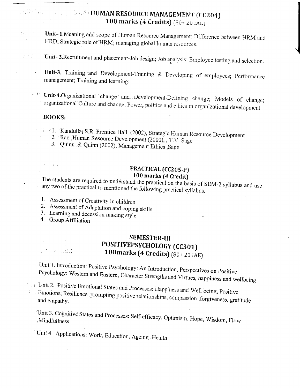#### *COMPARED AT A SET OF A HUMAN RESOURCE MANAGEMENT (CC204)* a construction of the constant 100 marks (4 Credits)  $(80 + 20 \text{ IAE})$

- Unit-1. Meaning and scope of Human Resource Management; Difference between HRM and  $\mathcal{L}^{\text{c}}$  . The  $\mathcal{L}^{\text{c}}$ . HRD; Strategic role of HRM; managing global human resources.  $\mathcal{L}_{\mathcal{A}}$ 
	- Unit- 2. Recruitment and placement-Job design; Job analysis; Employee testing and selection.  $\mathcal{A} \in \mathcal{B}$  .
- Unit-3: Training and Development-Training & Developing of employees; Performance  $\mathcal{O}_1$  $\sim 10^7$ management; Training and learning;
	- Unit-4.Organizational change and Development-Defining change; Models of change;  $\tau_{\rm{max}}=1.2$ organizational Culture and change; Power, politics and ethics in organizational development.

#### **BOOKS:**

 $\alpha = \alpha$ 

1. 1. Kandulla, S.R. Prentice Hall. (2002), Strategic Human Resource Development

- 2. Rao ,Human Resource Development (2000), , T.V. Sage
- 3. Quinn & Quinn (2002), Management Ethics , Sage

## PRACTICAL (CC205-P) 100 marks (4 Credit)

The students are required to understand the practical on the basis of SEM-2 syllabus and use any two of the practical to mentioned the following practical syllabus.

- 1. Assessment of Creativity in children
- 2. Assessment of Adaptation and coping skills
- 3. Learning and decession making style
- 4. Group Affiliation

 $\label{eq:2.1} \mathcal{A}(\mathcal{A}) = \mathcal{A}(\mathcal{A}) = \frac{1}{2} \mathcal{A}$  $\mathbb{Z}^n$  a ndf

## **SEMESTER-III** POSITIVEPSYCHOLOGY (CC301) 100 marks (4 Credits) (80+20 IAE)

- Unit 1. Introduction: Positive Psychology: An Introduction, Perspectives on Positive Psychology: Western and Eastern, Character Strengths and Virtues, happiness and wellbeing.
- Unit 2. Positive Emotional States and Processes: Happiness and Well being, Positive Emotions, Resilience ,prompting positive relationships; compassion ,forgiveness, gratitude and empathy.

Unit 3. Cognitive States and Processes: Self-efficacy, Optimism, Hope, Wisdom, Flow ,Mindfullness

Unit 4. Applications: Work, Education, Ageing, Health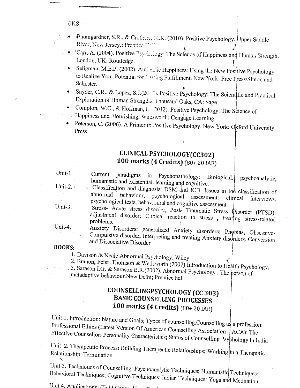OKS:

- Baumgardner, S.R., & Crothers, M.K. (2010). Positive Psychology. Upper Saddle River, New Jersey.: Prentice Hall.
- FCarr, A. (2004). Positive Psychology: The Science of Happiness and Human Strength. London, UK: Routledge.
- Seligman, M.E.P. (2002). Authentic Happiness: Using the New Positive Psychology to Realize Your Potential for Lasting Fulfillment. New York: Free Press/Simon and Schuster.
- Snyder, C.R., & Lopez, S.J.(2017). Positive Psychology: The Scientific and Practical  $\bullet$ Exploration of Human Strengths. Thousand Oaks, CA: Sage
- Compton, W.C., & Hoffman, E. (2012). Positive Psychology: The Science of
- : Happiness and Flourishing. Wadsworth: Cengage Learning.
- Peterson, C. (2006). A Primer in Positive Psychology. New York: Oxford University Press

## CLINICAL PSYCHOLOGY(CC302) 100 marks (4 Credits) (80+ 20 IAE)

Unit-1. Current paradigms in Psychopathology: Biological, psychoanalytic. humanistic and existential, learning and cognitive. Unit-2. $\cdot$ 

Classification and diagnosis: DSM and ICD. Issues in the classification of abnormal behaviour, psychological assessment: clinical interviews. psychological tests, behavioural and cognitive assessment. Unit-3.

Stress- Acute stress disorder, Post- Traumatic Stress Disorder (PTSD): adjustment disorder; Clinical reaction to stress, treating stress-related problems. Unit-4.

Anxiety Disorders: generalized Anxiety disorders: Phobias, Obsessive-Compulsive disorder, Interpreting and treating Anxiety disorders. Conversion and Dissociative Disorder

#### **BOOKS:**

 $\mathcal{L}^{\text{max}}$ 

1. Davison & Neale Abnormal Psychology, Wiley

2. Branon, Feist, Thomson & Wadsworth (2007) Introduction to Health Psychology,

: 3. Sarason I.G. & Sarason B.R. (2002). Abnormal Psychology, The person of maladaptive behaviour.New Delhi; Prentice hall

## COUNSELLINGPSYCHOLOGY (CC 303) **BASIC COUNSELLING PROCESSES** 100 marks (4 Credits) (80+20 IAE)

Unit 1. Introduction: Nature and Goals; Types of counselling, Counselling as a profession: Professional Ethics (Latest Version Of American Counselling Association  $\frac{1}{7}$  ACA); The Effective Counsellor: Personality Characteristics; Status of Counselling Psychology in India

Unit 2. Therapeutic Process: Building Therapeutic Relationships; Working in a Theraputic Relationship; Termination

Unit 3. Techniques of Counselling: Psychoanalytic Techniques; Humanistic Techniques; Behavioral Techniques; Cognitive Techniques; Indian Techniques: Yoga and Meditation

Unit 4. Applications: Child Councilly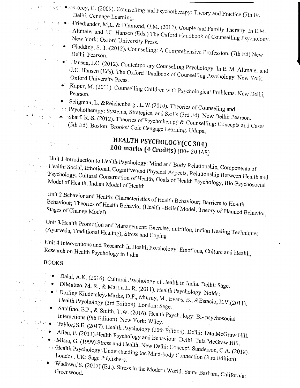- $\frac{d}{dx}$  and  $\frac{d}{dx}$   $\rightarrow$   $\sim$  Corey, G. (2009). Counselling and Psychotherapy: Theory and Practice (7th Eq. Delhi: Cengage Learning.
- $t^{(1)}$  and  $t^{(2)}$  and  $\bullet$  a Friedlander, M<sub>i</sub>L. & Diamond, G.M. (2012). Couple and Family Therapy. In E.M. Constitution of Altmaier and J.C. Hansen (Eds.) The Oxford Handbook of Counselling Psychology. New York: Oxford University Press.
- Gladding, S. T. (2012). Counselling: A Comprehensive Profession. (7th Ed) New
	- Hansen, J.C. (2012). Contemporary Counselling Psychology. In E. M. Altmaier and J.C. Hansen (Eds). The Oxford Handbook of Counselling Psychology. New York: Oxford University Press.
		- Kapur, M. (2011). Counselling Children with Psychological Problems. New Delhi,
- $\blacksquare$   $\blacksquare$   $\blacksquare$   $\blacksquare$   $\blacksquare$   $\blacksquare$   $\blacksquare$   $\blacksquare$   $\blacksquare$   $\blacksquare$   $\blacksquare$   $\blacksquare$   $\blacksquare$   $\blacksquare$   $\blacksquare$   $\blacksquare$   $\blacksquare$   $\blacksquare$   $\blacksquare$   $\blacksquare$   $\blacksquare$   $\blacksquare$   $\blacksquare$   $\blacksquare$   $\blacksquare$   $\blacksquare$   $\blacksquare$   $\blacksquare$   $\blacksquare$   $\blacksquare$   $\blacksquare$   $\blacks$
- **Expanding Systems, Strategies, and Skills (3rd Ed). New Delhi: Pearson.**
- $\cdots$  denotes Sharf, R. S. (2012). Theories of Psychotherapy & Counselling: Concepts and Cases (5th Ed). Boston: Brooks/ Cole Cengage Learning. Udupa,

## HEALTH PSYCHOLOGY(CC 304) 100 marks (4 Credits)  $(80 + 20$  IAE)

Unit 1: Introduction to Health Psychology: Mind and Body Relationship, Components of Health: Social, Emotional, Cognitive and Physical Aspects, Relationship Between Health and Psychology, Cultural Construction of Health, Goals of Health Psychology, Bio-Psychosocial Model of Health, Indian Model of Health

Unit 2 Behavior and Health: Characteristics of Health Behaviour; Barriers to Health Behaviour; Theories of Health Behavior (Health -Belief Model, Theory of Planned Behavior,

Unit 3 Health Promotion and Management: Exercise, nutrition, Indian Healing Techniques (Ayurveda, Traditional Healing), Stress and Coping

Unit 4 Interventions and Research in Health Psychology: Emotions, Culture and Health, Research on Health Psychology in India

**BOOKS:** 

 $\mathbb{S}^{\mathcal{S}}=\left\{ \left\vert \left\langle \mathcal{S}_{\mathcal{A}}\right\rangle \right\vert \right\} ^{\frac{1}{2}}$ 

 $\epsilon_{\rm max} \approx 100$ 

 $\sim 10$ 

 $\frac{1}{2}$  ,  $\frac{1}{2}$  ,  $\frac{1}{2}$  ,

 $\left( \left( 1, \left( \mathbf{1}_{\mathcal{C}} \right) \right) \right) \left( \mathbf{1} \right)$ 

 $\sim 1.4$  .

- 
- · Dalal, A.K. (2016). Cultural Psychology of Health in India. Delhi: Sage.
- · DiMatteo, M. R., & Martin L. R. (2011). Health Psychology. Noida: Dorling Kindersley. Marks, D.F., Murray, M., Evans, B., & Estacio, E.V. (2011). Health Psychology (3rd Edition). London: Sage.
	- · Sarafino, E.P., & Smith, T.W. (2016). Health Psychology: Bi-psychosocial Interactions (9th Edition). New York: Wiley.
	-
- Taylor, S.E. (2017). Health Psychology (10th Edition). Delhi: Tata McGraw Hill. Allen, F. (2011). Health Psychology and Behaviour. Delhi: Tata McGraw Hill.
	-
	- Misra, G. (1999). Stress and Health. New Delhi: Concept. Sanderson, C.A. (2018). Health Psychology: Understanding the Mind-body Connection (3 rd Edition).
		- Wadhwa, S. (2017) (Ed.). Stress in the Modern World. Santa Barbara, California: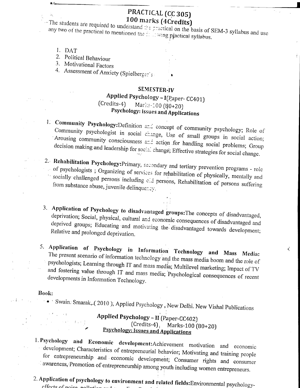## PRACTICAL (CC 305) 100 marks (4Credits)

The students are required to understand the practical on the basis of SEM-3 syllabus and use any two of the practical to mentioned the fully wing practical syllabus.

- 1. DAT
- 2. Political Behaviour

3. Motivational Factors

4. Assessment of Anxiety (Spielberger's

#### SEMESTER-IV

#### Applied Psychology - I(Paper-CC401)  $(Credits-4)$ Marks-100 (80+20) Psychology: Issues and Applications

- 1. Community Psychology: Definition and concept of community psychology; Role of Community psychologist in social change, Use of small groups in social action; Arousing community consciousness and action for handling social problems; Group decision making and leadership for social change; Effective strategies for social change.
- 2. Rehabilitation Psychology: Primary, secondary and tertiary prevention programs role of psychologists; Organizing of services for rehabilitation of physically, mentally and is ocially challenged persons including old persons, Rehabilitation of persons suffering from substance abuse, juvenile delinquency.
- 3. Application of Psychology to disadvantaged groups: The concepts of disadvantaged, deprivation; Social, physical, cultural and economic consequences of disadvantaged and deprived groups; Educating and motivating the disadvantaged towards development; Relative and prolonged deprivation.

₹

5. Application of Psychology in Information Technology and Mass Media: The present scenario of information technology and the mass media boom and the role of psychologists; Learning through IT and mass media; Multilevel marketing; Impact of TV and fostering value through IT and mass media; Psychological consequences of recent developments in Information Technology.

#### Book:

Swain: Smarak, (2010), Applied Psychology, New Delhi. New Vishal Publications

## Applied Psychology - II (Paper-CC402)  $(Credits-4)$ , Marks-100 (80+20) **Psychology: Issues and Applications**

- 1. Psychology and Economic development: Achievement motivation and economic development; Characteristics of entrepreneurial behavior; Motivating and training people for entrepreneurship and economic development; Consumer rights and consumer awareness, Promotion of entrepreneurship among youth including women entrepreneurs.
- 2. Application of psychology to environment and related fields: Environmental psychology-